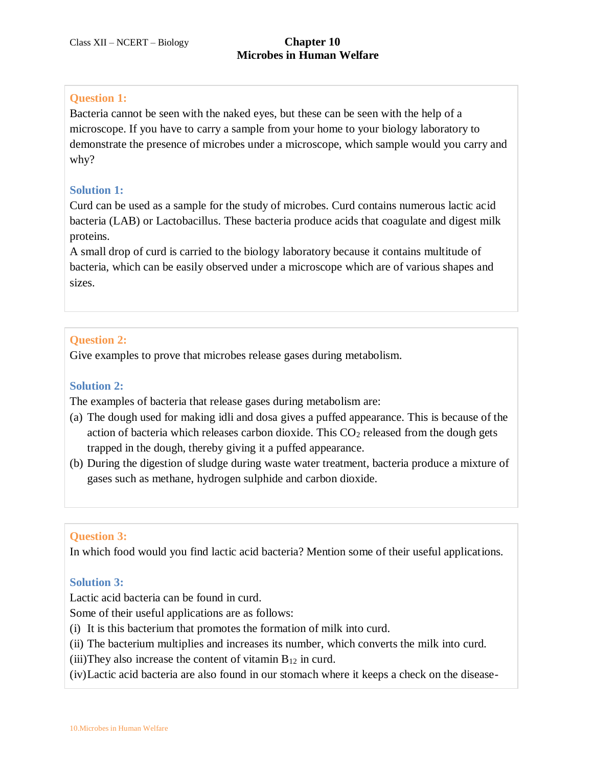## **Question 1:**

Bacteria cannot be seen with the naked eyes, but these can be seen with the help of a microscope. If you have to carry a sample from your home to your biology laboratory to demonstrate the presence of microbes under a microscope, which sample would you carry and why?

## **Solution 1:**

Curd can be used as a sample for the study of microbes. Curd contains numerous lactic acid bacteria (LAB) or Lactobacillus. These bacteria produce acids that coagulate and digest milk proteins.

A small drop of curd is carried to the biology laboratory because it contains multitude of bacteria, which can be easily observed under a microscope which are of various shapes and sizes.

## **Question 2:**

Give examples to prove that microbes release gases during metabolism.

## **Solution 2:**

The examples of bacteria that release gases during metabolism are:

- (a) The dough used for making idli and dosa gives a puffed appearance. This is because of the action of bacteria which releases carbon dioxide. This  $CO<sub>2</sub>$  released from the dough gets trapped in the dough, thereby giving it a puffed appearance.
- (b) During the digestion of sludge during waste water treatment, bacteria produce a mixture of gases such as methane, hydrogen sulphide and carbon dioxide.

#### **Question 3:**

In which food would you find lactic acid bacteria? Mention some of their useful applications.

#### **Solution 3:**

Lactic acid bacteria can be found in curd.

Some of their useful applications are as follows:

- (i) It is this bacterium that promotes the formation of milk into curd.
- (ii) The bacterium multiplies and increases its number, which converts the milk into curd.

(iii)They also increase the content of vitamin  $B_{12}$  in curd.

(iv)Lactic acid bacteria are also found in our stomach where it keeps a check on the disease-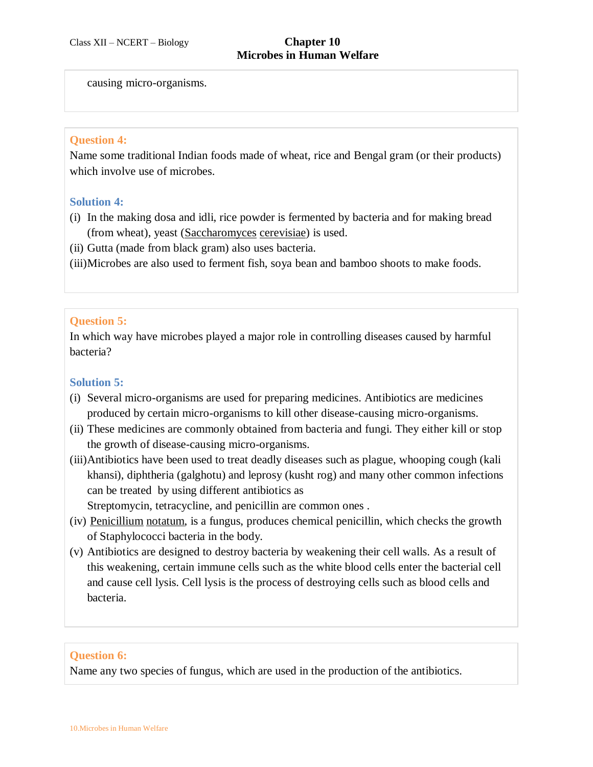# **Microbes in Human Welfare**

causing micro-organisms.

#### **Question 4:**

Name some traditional Indian foods made of wheat, rice and Bengal gram (or their products) which involve use of microbes.

#### **Solution 4:**

- (i) In the making dosa and idli, rice powder is fermented by bacteria and for making bread (from wheat), yeast (Saccharomyces cerevisiae) is used.
- (ii) Gutta (made from black gram) also uses bacteria.
- (iii)Microbes are also used to ferment fish, soya bean and bamboo shoots to make foods.

# **Question 5:**

In which way have microbes played a major role in controlling diseases caused by harmful bacteria?

## **Solution 5:**

- (i) Several micro-organisms are used for preparing medicines. Antibiotics are medicines produced by certain micro-organisms to kill other disease-causing micro-organisms.
- (ii) These medicines are commonly obtained from bacteria and fungi. They either kill or stop the growth of disease-causing micro-organisms.
- (iii)Antibiotics have been used to treat deadly diseases such as plague, whooping cough (kali khansi), diphtheria (galghotu) and leprosy (kusht rog) and many other common infections can be treated by using different antibiotics as

Streptomycin, tetracycline, and penicillin are common ones .

- (iv) Penicillium notatum, is a fungus, produces chemical penicillin, which checks the growth of Staphylococci bacteria in the body.
- (v) Antibiotics are designed to destroy bacteria by weakening their cell walls. As a result of this weakening, certain immune cells such as the white blood cells enter the bacterial cell and cause cell lysis. Cell lysis is the process of destroying cells such as blood cells and bacteria.

# **Question 6:**

Name any two species of fungus, which are used in the production of the antibiotics.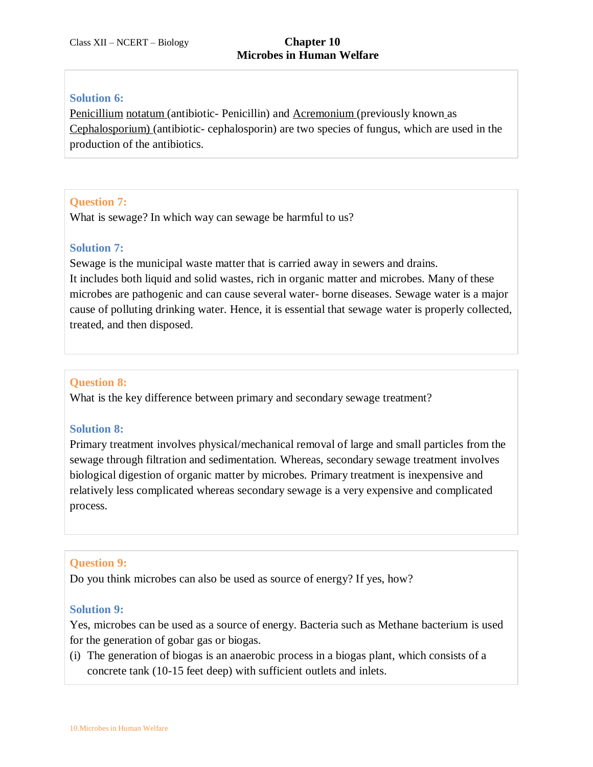## **Solution 6:**

Penicillium notatum (antibiotic- Penicillin) and Acremonium (previously known as Cephalosporium) (antibiotic- cephalosporin) are two species of fungus, which are used in the production of the antibiotics.

# **Question 7:**

What is sewage? In which way can sewage be harmful to us?

## **Solution 7:**

Sewage is the municipal waste matter that is carried away in sewers and drains. It includes both liquid and solid wastes, rich in organic matter and microbes. Many of these microbes are pathogenic and can cause several water- borne diseases. Sewage water is a major cause of polluting drinking water. Hence, it is essential that sewage water is properly collected, treated, and then disposed.

## **Question 8:**

What is the key difference between primary and secondary sewage treatment?

# **Solution 8:**

Primary treatment involves physical/mechanical removal of large and small particles from the sewage through filtration and sedimentation. Whereas, secondary sewage treatment involves biological digestion of organic matter by microbes. Primary treatment is inexpensive and relatively less complicated whereas secondary sewage is a very expensive and complicated process.

#### **Question 9:**

Do you think microbes can also be used as source of energy? If yes, how?

#### **Solution 9:**

Yes, microbes can be used as a source of energy. Bacteria such as Methane bacterium is used for the generation of gobar gas or biogas.

(i) The generation of biogas is an anaerobic process in a biogas plant, which consists of a concrete tank (10-15 feet deep) with sufficient outlets and inlets.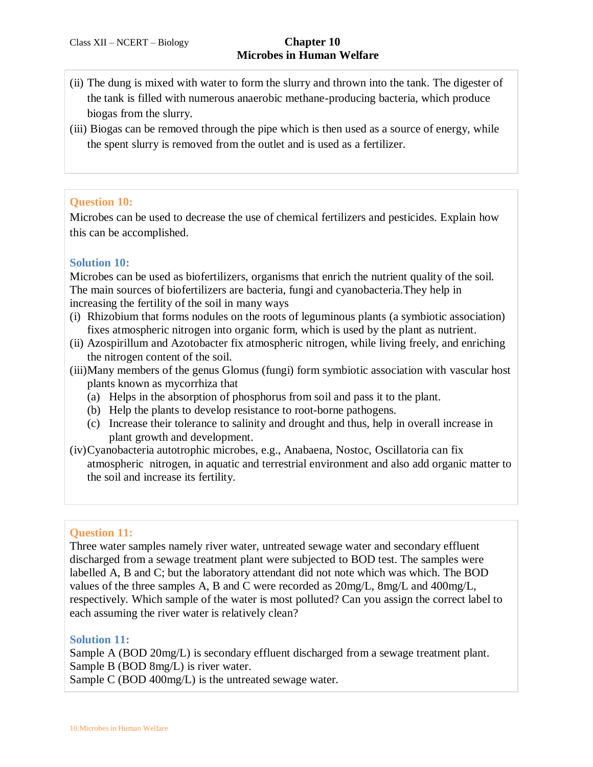- (ii) The dung is mixed with water to form the slurry and thrown into the tank. The digester of the tank is filled with numerous anaerobic methane-producing bacteria, which produce biogas from the slurry.
- (iii) Biogas can be removed through the pipe which is then used as a source of energy, while the spent slurry is removed from the outlet and is used as a fertilizer.

## **Question 10:**

Microbes can be used to decrease the use of chemical fertilizers and pesticides. Explain how this can be accomplished.

## **Solution 10:**

Microbes can be used as biofertilizers, organisms that enrich the nutrient quality of the soil. The main sources of biofertilizers are bacteria, fungi and cyanobacteria.They help in increasing the fertility of the soil in many ways

- (i) Rhizobium that forms nodules on the roots of leguminous plants (a symbiotic association) fixes atmospheric nitrogen into organic form, which is used by the plant as nutrient.
- (ii) Azospirillum and Azotobacter fix atmospheric nitrogen, while living freely, and enriching the nitrogen content of the soil.
- (iii)Many members of the genus Glomus (fungi) form symbiotic association with vascular host plants known as mycorrhiza that
	- (a) Helps in the absorption of phosphorus from soil and pass it to the plant.
	- (b) Help the plants to develop resistance to root-borne pathogens.
	- (c) Increase their tolerance to salinity and drought and thus, help in overall increase in plant growth and development.
- (iv)Cyanobacteria autotrophic microbes, e.g., Anabaena, Nostoc, Oscillatoria can fix atmospheric nitrogen, in aquatic and terrestrial environment and also add organic matter to the soil and increase its fertility.

# **Question 11:**

Three water samples namely river water, untreated sewage water and secondary effluent discharged from a sewage treatment plant were subjected to BOD test. The samples were labelled A, B and C; but the laboratory attendant did not note which was which. The BOD values of the three samples A, B and C were recorded as 20mg/L, 8mg/L and 400mg/L, respectively. Which sample of the water is most polluted? Can you assign the correct label to each assuming the river water is relatively clean?

#### **Solution 11:**

Sample A (BOD 20mg/L) is secondary effluent discharged from a sewage treatment plant. Sample B (BOD 8mg/L) is river water.

Sample C (BOD 400mg/L) is the untreated sewage water.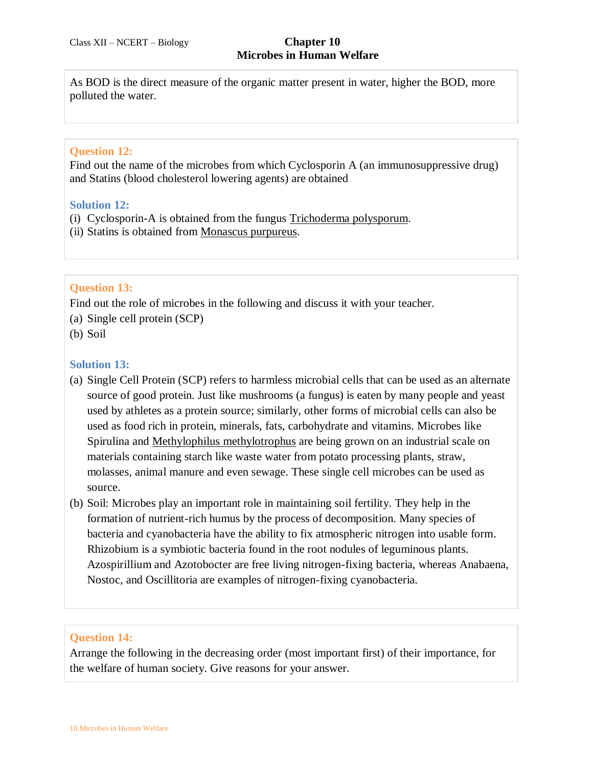As BOD is the direct measure of the organic matter present in water, higher the BOD, more polluted the water.

# **Question 12:**

Find out the name of the microbes from which Cyclosporin A (an immunosuppressive drug) and Statins (blood cholesterol lowering agents) are obtained

#### **Solution 12:**

- (i) Cyclosporin-A is obtained from the fungus Trichoderma polysporum.
- (ii) Statins is obtained from Monascus purpureus.

## **Question 13:**

Find out the role of microbes in the following and discuss it with your teacher.

- (a) Single cell protein (SCP)
- (b) Soil

## **Solution 13:**

- (a) Single Cell Protein (SCP) refers to harmless microbial cells that can be used as an alternate source of good protein. Just like mushrooms (a fungus) is eaten by many people and yeast used by athletes as a protein source; similarly, other forms of microbial cells can also be used as food rich in protein, minerals, fats, carbohydrate and vitamins. Microbes like Spirulina and Methylophilus methylotrophus are being grown on an industrial scale on materials containing starch like waste water from potato processing plants, straw, molasses, animal manure and even sewage. These single cell microbes can be used as source.
- (b) Soil: Microbes play an important role in maintaining soil fertility. They help in the formation of nutrient-rich humus by the process of decomposition. Many species of bacteria and cyanobacteria have the ability to fix atmospheric nitrogen into usable form. Rhizobium is a symbiotic bacteria found in the root nodules of leguminous plants. Azospirillium and Azotobocter are free living nitrogen-fixing bacteria, whereas Anabaena, Nostoc, and Oscillitoria are examples of nitrogen-fixing cyanobacteria.

#### **Question 14:**

Arrange the following in the decreasing order (most important first) of their importance, for the welfare of human society. Give reasons for your answer.